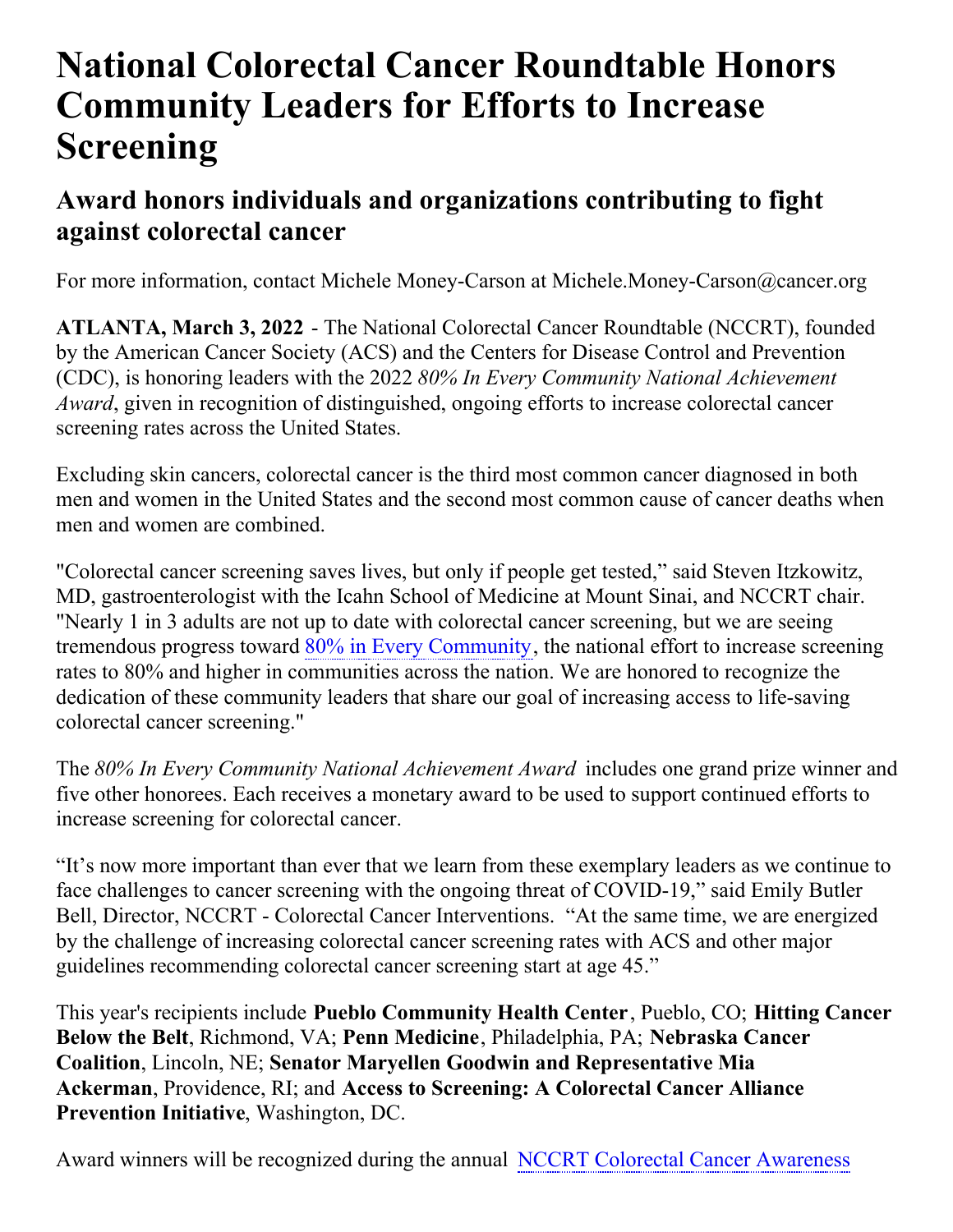# **National Colorectal Cancer Roundtable Honors Community Leaders for Efforts to Increase Screening**

## **Award honors individuals and organizations contributing to fight against colorectal cancer**

For more information, contact Michele Money-Carson at Michele.Money-Carson@cancer.org

**ATLANTA, March 3, 2022** - The National Colorectal Cancer Roundtable (NCCRT), founded by the American Cancer Society (ACS) and the Centers for Disease Control and Prevention (CDC), is honoring leaders with the 2022 *80% In Every Community National Achievement Award*, given in recognition of distinguished, ongoing efforts to increase colorectal cancer screening rates across the United States.

Excluding skin cancers, colorectal cancer is the third most common cancer diagnosed in both men and women in the United States and the second most common cause of cancer deaths when men and women are combined.

"Colorectal cancer screening saves lives, but only if people get tested," said Steven Itzkowitz, MD, gastroenterologist with the Icahn School of Medicine at Mount Sinai, and NCCRT chair. "Nearly 1 in 3 adults are not up to date with colorectal cancer screening, but we are seeing tremendous progress toward 80% in Every [Community](https://nccrt.org/80-in-every-community/), the national effort to increase screening rates to 80% and higher in communities across the nation. We are honored to recognize the dedication of these community leaders that share our goal of increasing access to life-saving colorectal cancer screening."

The *80% In Every Community National Achievement Award* includes one grand prize winner and five other honorees. Each receives a monetary award to be used to support continued efforts to increase screening for colorectal cancer.

"It's now more important than ever that we learn from these exemplary leaders as we continue to face challenges to cancer screening with the ongoing threat of COVID-19," said Emily Butler Bell, Director, NCCRT - Colorectal Cancer Interventions. "At the same time, we are energized by the challenge of increasing colorectal cancer screening rates with ACS and other major guidelines recommending colorectal cancer screening start at age 45."

This year's recipients include **Pueblo Community Health Center**, Pueblo, CO; **Hitting Cancer Below the Belt**, Richmond, VA; **Penn Medicine**, Philadelphia, PA; **Nebraska Cancer Coalition**, Lincoln, NE; **Senator Maryellen Goodwin and Representative Mia Ackerman**, Providence, RI; and **Access to Screening: A Colorectal Cancer Alliance Prevention Initiative**, Washington, DC.

Award winners will be [recognized](https://nccrt.org/event/2022webcast/) during the annual NCCRT Colorectal Cancer Awareness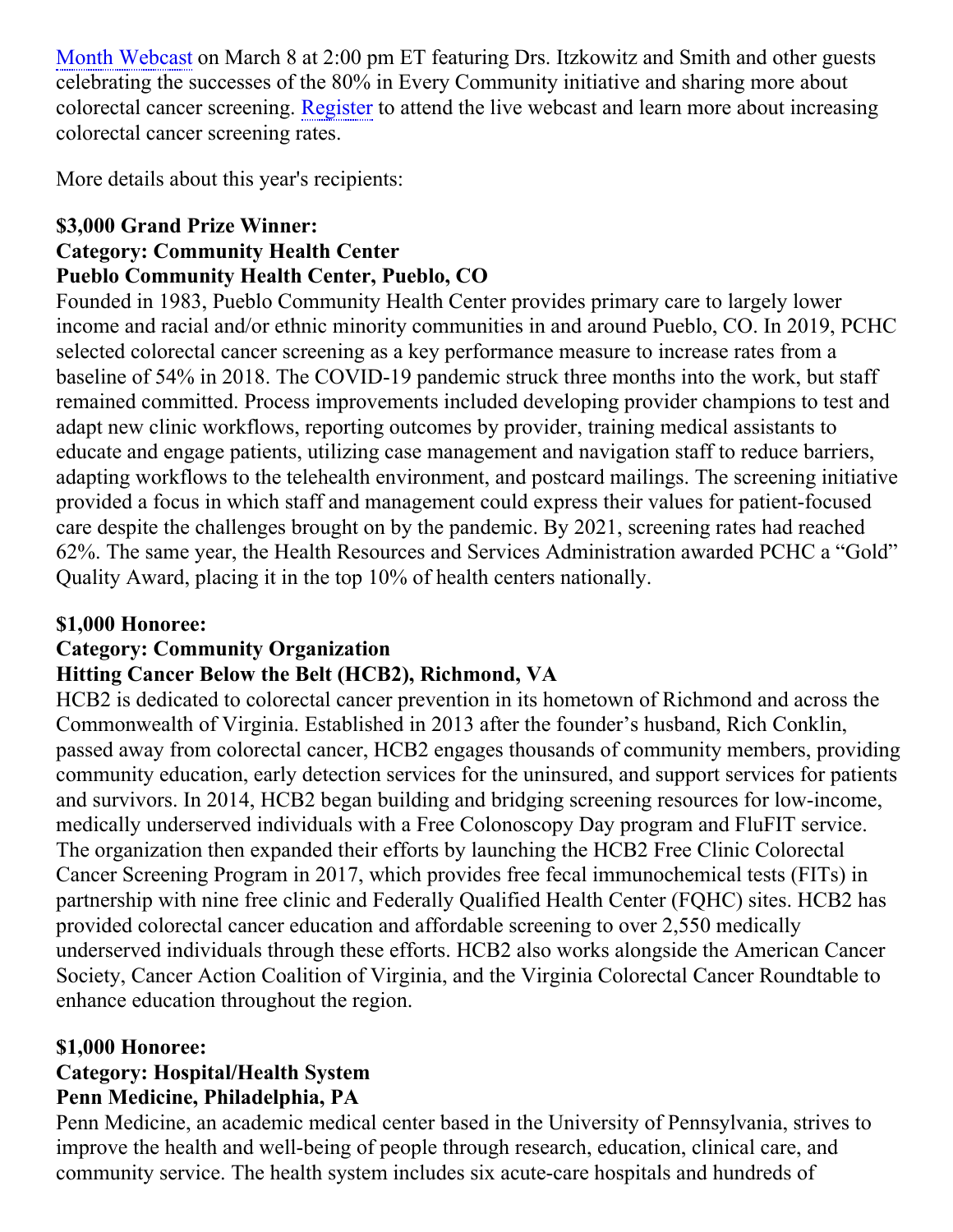Month Webcast on March 8 at 2:00 pm ET featuring Drs. Itzkowitz and Smith and other guests celebrating the successes of the 80% in Every Community initiative and sharing more about colorectal cancer screening. [Register](https://nccrt.org/event/2022webcast/) to attend the live webcast and learn more about increasing colorectal cancer screening rates.

More details about this year's recipients:

#### **\$3,000 Grand Prize Winner: Category: Community Health Center Pueblo Community Health Center, Pueblo, CO**

Founded in 1983, Pueblo Community Health Center provides primary care to largely lower income and racial and/or ethnic minority communities in and around Pueblo, CO. In 2019, PCHC selected colorectal cancer screening as a key performance measure to increase rates from a baseline of 54% in 2018. The COVID-19 pandemic struck three months into the work, but staff remained committed. Process improvements included developing provider champions to test and adapt new clinic workflows, reporting outcomes by provider, training medical assistants to educate and engage patients, utilizing case management and navigation staff to reduce barriers, adapting workflows to the telehealth environment, and postcard mailings. The screening initiative provided a focus in which staff and management could express their values for patient-focused care despite the challenges brought on by the pandemic. By 2021, screening rates had reached 62%. The same year, the Health Resources and Services Administration awarded PCHC a "Gold" Quality Award, placing it in the top 10% of health centers nationally.

#### **\$1,000 Honoree:**

#### **Category: Community Organization**

#### **Hitting Cancer Below the Belt (HCB2), Richmond, VA**

HCB2 is dedicated to colorectal cancer prevention in its hometown of Richmond and across the Commonwealth of Virginia. Established in 2013 after the founder's husband, Rich Conklin, passed away from colorectal cancer, HCB2 engages thousands of community members, providing community education, early detection services for the uninsured, and support services for patients and survivors. In 2014, HCB2 began building and bridging screening resources for low-income, medically underserved individuals with a Free Colonoscopy Day program and FluFIT service. The organization then expanded their efforts by launching the HCB2 Free Clinic Colorectal Cancer Screening Program in 2017, which provides free fecal immunochemical tests (FITs) in partnership with nine free clinic and Federally Qualified Health Center (FQHC) sites. HCB2 has provided colorectal cancer education and affordable screening to over 2,550 medically underserved individuals through these efforts. HCB2 also works alongside the American Cancer Society, Cancer Action Coalition of Virginia, and the Virginia Colorectal Cancer Roundtable to enhance education throughout the region.

#### **\$1,000 Honoree:**

#### **Category: Hospital/Health System Penn Medicine, Philadelphia, PA**

Penn Medicine, an academic medical center based in the University of Pennsylvania, strives to improve the health and well-being of people through research, education, clinical care, and community service. The health system includes six acute-care hospitals and hundreds of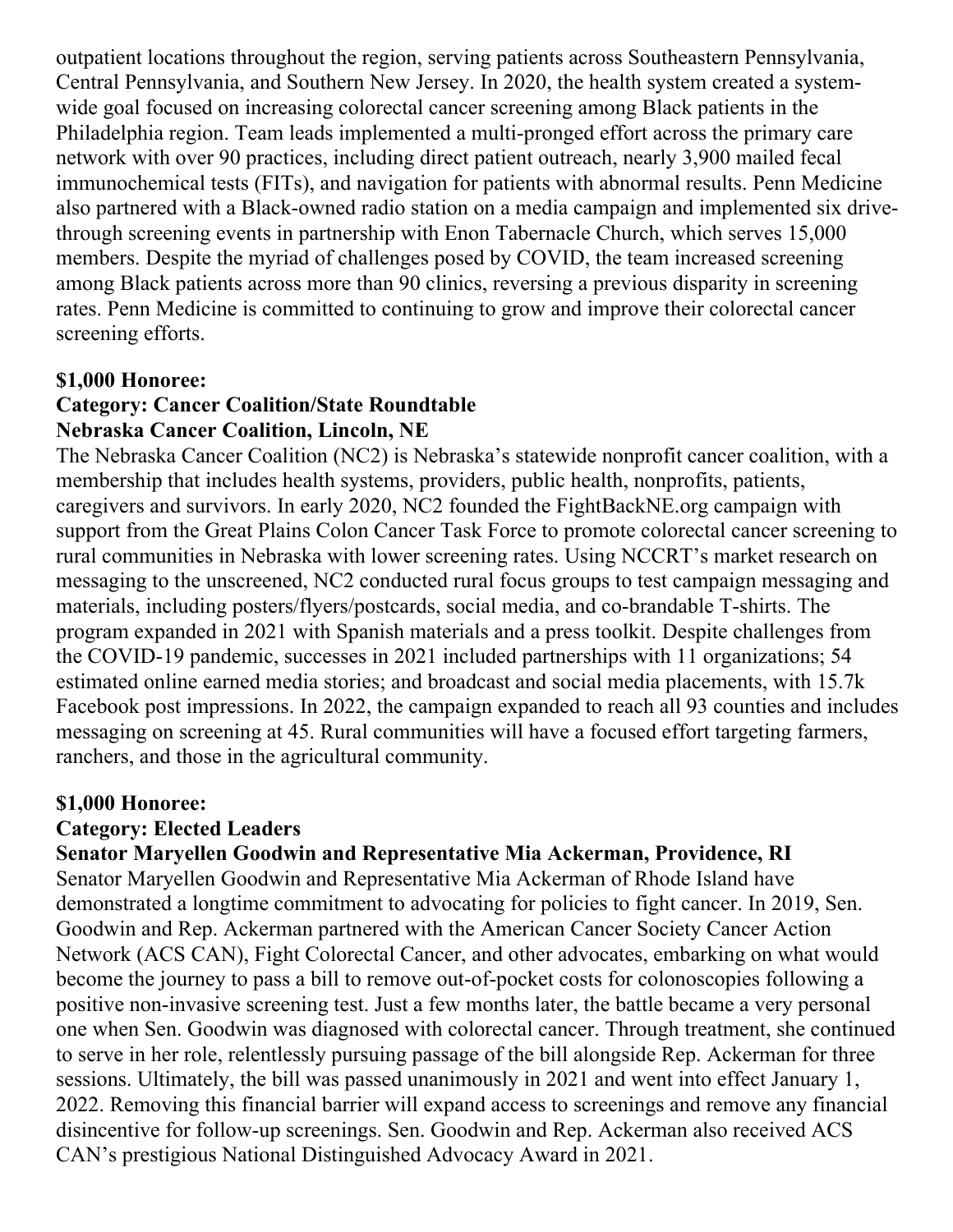outpatient locations throughout the region, serving patients across Southeastern Pennsylvania, Central Pennsylvania, and Southern New Jersey. In 2020, the health system created a systemwide goal focused on increasing colorectal cancer screening among Black patients in the Philadelphia region. Team leads implemented a multi-pronged effort across the primary care network with over 90 practices, including direct patient outreach, nearly 3,900 mailed fecal immunochemical tests (FITs), and navigation for patients with abnormal results. Penn Medicine also partnered with a Black-owned radio station on a media campaign and implemented six drivethrough screening events in partnership with Enon Tabernacle Church, which serves 15,000 members. Despite the myriad of challenges posed by COVID, the team increased screening among Black patients across more than 90 clinics, reversing a previous disparity in screening rates. Penn Medicine is committed to continuing to grow and improve their colorectal cancer screening efforts.

#### **\$1,000 Honoree:**

#### **Category: Cancer Coalition/State Roundtable Nebraska Cancer Coalition, Lincoln, NE**

The Nebraska Cancer Coalition (NC2) is Nebraska's statewide nonprofit cancer coalition, with a membership that includes health systems, providers, public health, nonprofits, patients, caregivers and survivors. In early 2020, NC2 founded the FightBackNE.org campaign with support from the Great Plains Colon Cancer Task Force to promote colorectal cancer screening to rural communities in Nebraska with lower screening rates. Using NCCRT's market research on messaging to the unscreened, NC2 conducted rural focus groups to test campaign messaging and materials, including posters/flyers/postcards, social media, and co-brandable T-shirts. The program expanded in 2021 with Spanish materials and a press toolkit. Despite challenges from the COVID-19 pandemic, successes in 2021 included partnerships with 11 organizations; 54 estimated online earned media stories; and broadcast and social media placements, with 15.7k Facebook post impressions. In 2022, the campaign expanded to reach all 93 counties and includes messaging on screening at 45. Rural communities will have a focused effort targeting farmers, ranchers, and those in the agricultural community.

#### **\$1,000 Honoree:**

#### **Category: Elected Leaders**

#### **Senator Maryellen Goodwin and Representative Mia Ackerman, Providence, RI**

Senator Maryellen Goodwin and Representative Mia Ackerman of Rhode Island have demonstrated a longtime commitment to advocating for policies to fight cancer. In 2019, Sen. Goodwin and Rep. Ackerman partnered with the American Cancer Society Cancer Action Network (ACS CAN), Fight Colorectal Cancer, and other advocates, embarking on what would become the journey to pass a bill to remove out-of-pocket costs for colonoscopies following a positive non-invasive screening test. Just a few months later, the battle became a very personal one when Sen. Goodwin was diagnosed with colorectal cancer. Through treatment, she continued to serve in her role, relentlessly pursuing passage of the bill alongside Rep. Ackerman for three sessions. Ultimately, the bill was passed unanimously in 2021 and went into effect January 1, 2022. Removing this financial barrier will expand access to screenings and remove any financial disincentive for follow-up screenings. Sen. Goodwin and Rep. Ackerman also received ACS CAN's prestigious National Distinguished Advocacy Award in 2021.